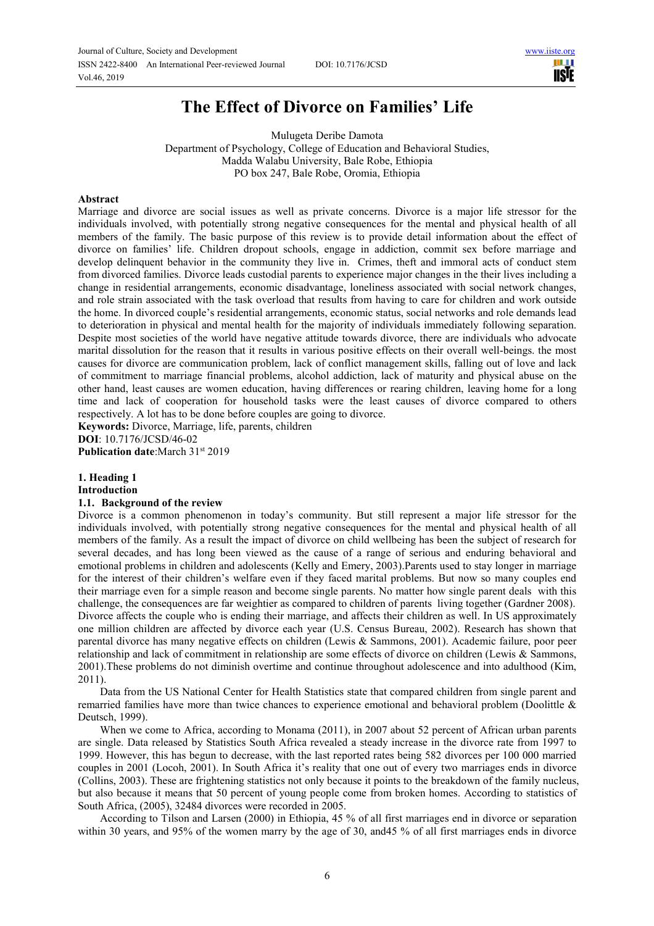

# **The Effect of Divorce on Families' Life**

Mulugeta Deribe Damota Department of Psychology, College of Education and Behavioral Studies, Madda Walabu University, Bale Robe, Ethiopia PO box 247, Bale Robe, Oromia, Ethiopia

#### **Abstract**

Marriage and divorce are social issues as well as private concerns. Divorce is a major life stressor for the individuals involved, with potentially strong negative consequences for the mental and physical health of all members of the family. The basic purpose of this review is to provide detail information about the effect of divorce on families' life. Children dropout schools, engage in addiction, commit sex before marriage and develop delinquent behavior in the community they live in. Crimes, theft and immoral acts of conduct stem from divorced families. Divorce leads custodial parents to experience major changes in the their lives including a change in residential arrangements, economic disadvantage, loneliness associated with social network changes, and role strain associated with the task overload that results from having to care for children and work outside the home. In divorced couple's residential arrangements, economic status, social networks and role demands lead to deterioration in physical and mental health for the majority of individuals immediately following separation. Despite most societies of the world have negative attitude towards divorce, there are individuals who advocate marital dissolution for the reason that it results in various positive effects on their overall well-beings. the most causes for divorce are communication problem, lack of conflict management skills, falling out of love and lack of commitment to marriage financial problems, alcohol addiction, lack of maturity and physical abuse on the other hand, least causes are women education, having differences or rearing children, leaving home for a long time and lack of cooperation for household tasks were the least causes of divorce compared to others respectively. A lot has to be done before couples are going to divorce.

**Keywords:** Divorce, Marriage, life, parents, children **DOI**: 10.7176/JCSD/46-02

**Publication date:**March 31st 2019

## **1. Heading 1**

**Introduction** 

## **1.1. Background of the review**

Divorce is a common phenomenon in today's community. But still represent a major life stressor for the individuals involved, with potentially strong negative consequences for the mental and physical health of all members of the family. As a result the impact of divorce on child wellbeing has been the subject of research for several decades, and has long been viewed as the cause of a range of serious and enduring behavioral and emotional problems in children and adolescents (Kelly and Emery, 2003).Parents used to stay longer in marriage for the interest of their children's welfare even if they faced marital problems. But now so many couples end their marriage even for a simple reason and become single parents. No matter how single parent deals with this challenge, the consequences are far weightier as compared to children of parents living together (Gardner 2008). Divorce affects the couple who is ending their marriage, and affects their children as well. In US approximately one million children are affected by divorce each year (U.S. Census Bureau, 2002). Research has shown that parental divorce has many negative effects on children (Lewis & Sammons, 2001). Academic failure, poor peer relationship and lack of commitment in relationship are some effects of divorce on children (Lewis & Sammons, 2001).These problems do not diminish overtime and continue throughout adolescence and into adulthood (Kim, 2011).

Data from the US National Center for Health Statistics state that compared children from single parent and remarried families have more than twice chances to experience emotional and behavioral problem (Doolittle & Deutsch, 1999).

When we come to Africa, according to Monama (2011), in 2007 about 52 percent of African urban parents are single. Data released by Statistics South Africa revealed a steady increase in the divorce rate from 1997 to 1999. However, this has begun to decrease, with the last reported rates being 582 divorces per 100 000 married couples in 2001 (Locoh, 2001). In South Africa it's reality that one out of every two marriages ends in divorce (Collins, 2003). These are frightening statistics not only because it points to the breakdown of the family nucleus, but also because it means that 50 percent of young people come from broken homes. According to statistics of South Africa, (2005), 32484 divorces were recorded in 2005.

According to Tilson and Larsen (2000) in Ethiopia, 45 % of all first marriages end in divorce or separation within 30 years, and 95% of the women marry by the age of 30, and 45 % of all first marriages ends in divorce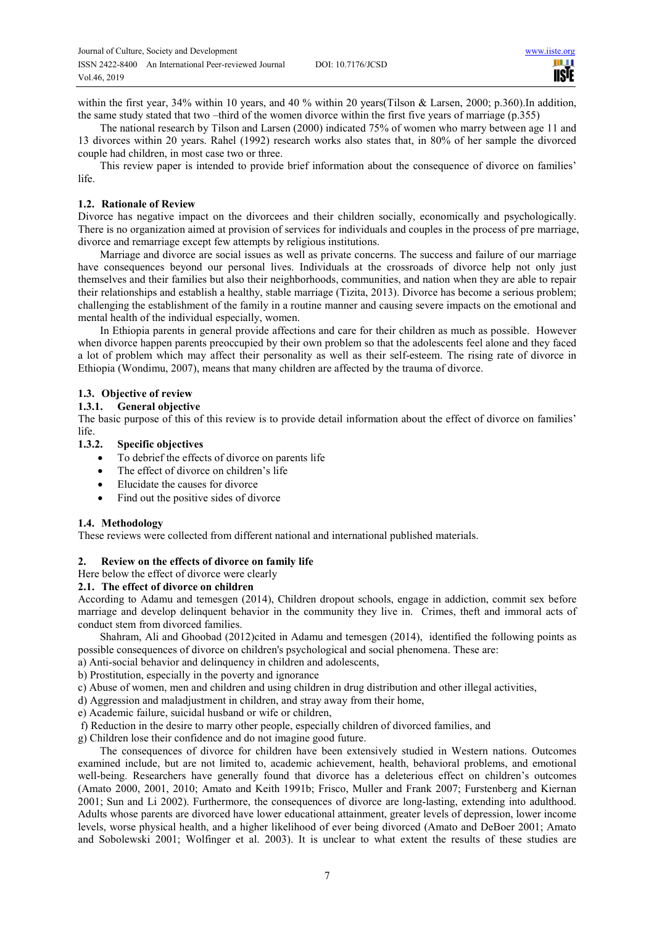within the first year, 34% within 10 years, and 40 % within 20 years(Tilson & Larsen, 2000; p.360).In addition, the same study stated that two –third of the women divorce within the first five years of marriage (p.355)

The national research by Tilson and Larsen (2000) indicated 75% of women who marry between age 11 and 13 divorces within 20 years. Rahel (1992) research works also states that, in 80% of her sample the divorced couple had children, in most case two or three.

This review paper is intended to provide brief information about the consequence of divorce on families' life.

## **1.2. Rationale of Review**

Divorce has negative impact on the divorcees and their children socially, economically and psychologically. There is no organization aimed at provision of services for individuals and couples in the process of pre marriage, divorce and remarriage except few attempts by religious institutions.

Marriage and divorce are social issues as well as private concerns. The success and failure of our marriage have consequences beyond our personal lives. Individuals at the crossroads of divorce help not only just themselves and their families but also their neighborhoods, communities, and nation when they are able to repair their relationships and establish a healthy, stable marriage (Tizita, 2013). Divorce has become a serious problem; challenging the establishment of the family in a routine manner and causing severe impacts on the emotional and mental health of the individual especially, women.

In Ethiopia parents in general provide affections and care for their children as much as possible. However when divorce happen parents preoccupied by their own problem so that the adolescents feel alone and they faced a lot of problem which may affect their personality as well as their self-esteem. The rising rate of divorce in Ethiopia (Wondimu, 2007), means that many children are affected by the trauma of divorce.

## **1.3. Objective of review**

## **1.3.1. General objective**

The basic purpose of this of this review is to provide detail information about the effect of divorce on families' life.

#### **1.3.2. Specific objectives**

- To debrief the effects of divorce on parents life
- The effect of divorce on children's life
- Elucidate the causes for divorce
- Find out the positive sides of divorce

## **1.4. Methodology**

These reviews were collected from different national and international published materials.

## **2. Review on the effects of divorce on family life**

Here below the effect of divorce were clearly

# **2.1. The effect of divorce on children**

According to Adamu and temesgen (2014), Children dropout schools, engage in addiction, commit sex before marriage and develop delinquent behavior in the community they live in. Crimes, theft and immoral acts of conduct stem from divorced families.

Shahram, Ali and Ghoobad (2012)cited in Adamu and temesgen (2014), identified the following points as possible consequences of divorce on children's psychological and social phenomena. These are:

a) Anti-social behavior and delinquency in children and adolescents,

b) Prostitution, especially in the poverty and ignorance

c) Abuse of women, men and children and using children in drug distribution and other illegal activities,

d) Aggression and maladjustment in children, and stray away from their home,

e) Academic failure, suicidal husband or wife or children,

f) Reduction in the desire to marry other people, especially children of divorced families, and

g) Children lose their confidence and do not imagine good future.

The consequences of divorce for children have been extensively studied in Western nations. Outcomes examined include, but are not limited to, academic achievement, health, behavioral problems, and emotional well-being. Researchers have generally found that divorce has a deleterious effect on children's outcomes (Amato 2000, 2001, 2010; Amato and Keith 1991b; Frisco, Muller and Frank 2007; Furstenberg and Kiernan 2001; Sun and Li 2002). Furthermore, the consequences of divorce are long-lasting, extending into adulthood. Adults whose parents are divorced have lower educational attainment, greater levels of depression, lower income levels, worse physical health, and a higher likelihood of ever being divorced (Amato and DeBoer 2001; Amato and Sobolewski 2001; Wolfinger et al. 2003). It is unclear to what extent the results of these studies are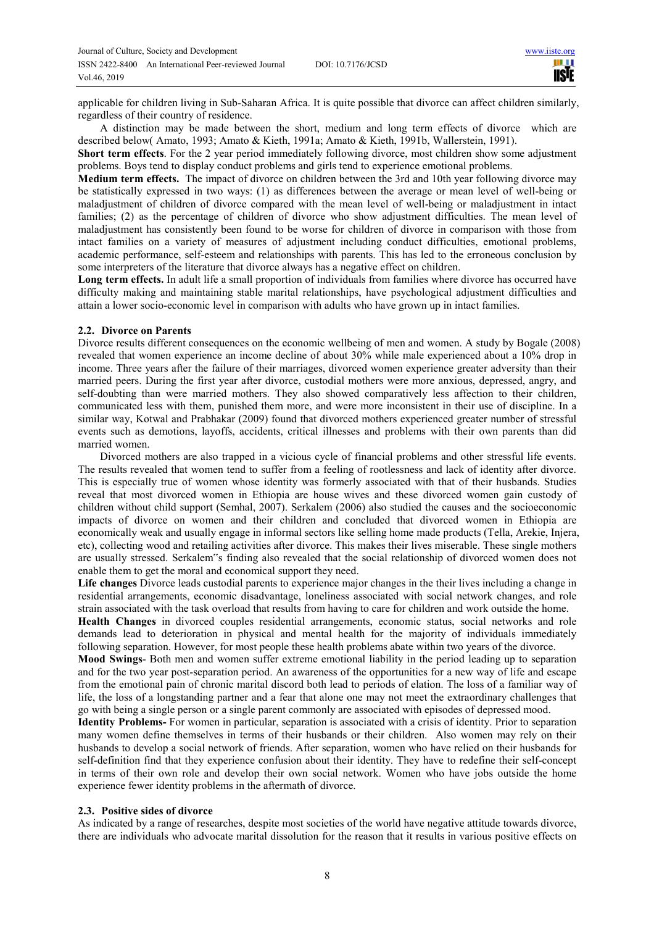applicable for children living in Sub-Saharan Africa. It is quite possible that divorce can affect children similarly, regardless of their country of residence.

A distinction may be made between the short, medium and long term effects of divorce which are described below( Amato, 1993; Amato & Kieth, 1991a; Amato & Kieth, 1991b, Wallerstein, 1991).

**Short term effects**. For the 2 year period immediately following divorce, most children show some adjustment problems. Boys tend to display conduct problems and girls tend to experience emotional problems.

**Medium term effects.** The impact of divorce on children between the 3rd and 10th year following divorce may be statistically expressed in two ways: (1) as differences between the average or mean level of well-being or maladjustment of children of divorce compared with the mean level of well-being or maladjustment in intact families; (2) as the percentage of children of divorce who show adjustment difficulties. The mean level of maladjustment has consistently been found to be worse for children of divorce in comparison with those from intact families on a variety of measures of adjustment including conduct difficulties, emotional problems, academic performance, self-esteem and relationships with parents. This has led to the erroneous conclusion by some interpreters of the literature that divorce always has a negative effect on children.

**Long term effects.** In adult life a small proportion of individuals from families where divorce has occurred have difficulty making and maintaining stable marital relationships, have psychological adjustment difficulties and attain a lower socio-economic level in comparison with adults who have grown up in intact families.

# **2.2. Divorce on Parents**

Divorce results different consequences on the economic wellbeing of men and women. A study by Bogale (2008) revealed that women experience an income decline of about 30% while male experienced about a 10% drop in income. Three years after the failure of their marriages, divorced women experience greater adversity than their married peers. During the first year after divorce, custodial mothers were more anxious, depressed, angry, and self-doubting than were married mothers. They also showed comparatively less affection to their children, communicated less with them, punished them more, and were more inconsistent in their use of discipline. In a similar way, Kotwal and Prabhakar (2009) found that divorced mothers experienced greater number of stressful events such as demotions, layoffs, accidents, critical illnesses and problems with their own parents than did married women.

Divorced mothers are also trapped in a vicious cycle of financial problems and other stressful life events. The results revealed that women tend to suffer from a feeling of rootlessness and lack of identity after divorce. This is especially true of women whose identity was formerly associated with that of their husbands. Studies reveal that most divorced women in Ethiopia are house wives and these divorced women gain custody of children without child support (Semhal, 2007). Serkalem (2006) also studied the causes and the socioeconomic impacts of divorce on women and their children and concluded that divorced women in Ethiopia are economically weak and usually engage in informal sectors like selling home made products (Tella, Arekie, Injera, etc), collecting wood and retailing activities after divorce. This makes their lives miserable. These single mothers are usually stressed. Serkalem"s finding also revealed that the social relationship of divorced women does not enable them to get the moral and economical support they need.

**Life changes** Divorce leads custodial parents to experience major changes in the their lives including a change in residential arrangements, economic disadvantage, loneliness associated with social network changes, and role strain associated with the task overload that results from having to care for children and work outside the home.

**Health Changes** in divorced couples residential arrangements, economic status, social networks and role demands lead to deterioration in physical and mental health for the majority of individuals immediately following separation. However, for most people these health problems abate within two years of the divorce.

**Mood Swings**- Both men and women suffer extreme emotional liability in the period leading up to separation and for the two year post-separation period. An awareness of the opportunities for a new way of life and escape from the emotional pain of chronic marital discord both lead to periods of elation. The loss of a familiar way of life, the loss of a longstanding partner and a fear that alone one may not meet the extraordinary challenges that go with being a single person or a single parent commonly are associated with episodes of depressed mood.

**Identity Problems-** For women in particular, separation is associated with a crisis of identity. Prior to separation many women define themselves in terms of their husbands or their children. Also women may rely on their husbands to develop a social network of friends. After separation, women who have relied on their husbands for self-definition find that they experience confusion about their identity. They have to redefine their self-concept in terms of their own role and develop their own social network. Women who have jobs outside the home experience fewer identity problems in the aftermath of divorce.

# **2.3. Positive sides of divorce**

As indicated by a range of researches, despite most societies of the world have negative attitude towards divorce, there are individuals who advocate marital dissolution for the reason that it results in various positive effects on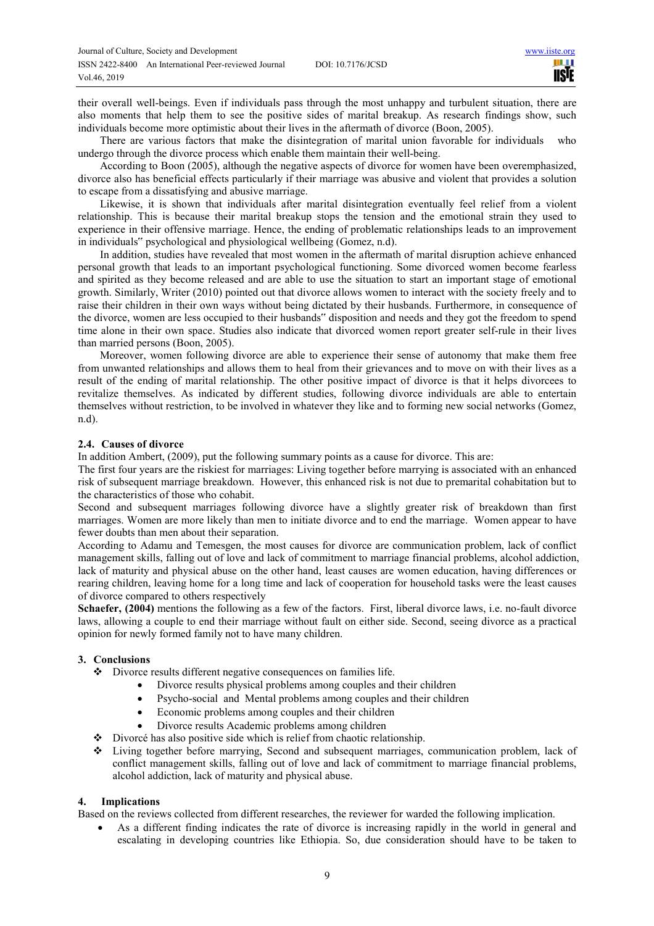their overall well-beings. Even if individuals pass through the most unhappy and turbulent situation, there are also moments that help them to see the positive sides of marital breakup. As research findings show, such individuals become more optimistic about their lives in the aftermath of divorce (Boon, 2005).

There are various factors that make the disintegration of marital union favorable for individuals who undergo through the divorce process which enable them maintain their well-being.

According to Boon (2005), although the negative aspects of divorce for women have been overemphasized, divorce also has beneficial effects particularly if their marriage was abusive and violent that provides a solution to escape from a dissatisfying and abusive marriage.

Likewise, it is shown that individuals after marital disintegration eventually feel relief from a violent relationship. This is because their marital breakup stops the tension and the emotional strain they used to experience in their offensive marriage. Hence, the ending of problematic relationships leads to an improvement in individuals" psychological and physiological wellbeing (Gomez, n.d).

In addition, studies have revealed that most women in the aftermath of marital disruption achieve enhanced personal growth that leads to an important psychological functioning. Some divorced women become fearless and spirited as they become released and are able to use the situation to start an important stage of emotional growth. Similarly, Writer (2010) pointed out that divorce allows women to interact with the society freely and to raise their children in their own ways without being dictated by their husbands. Furthermore, in consequence of the divorce, women are less occupied to their husbands" disposition and needs and they got the freedom to spend time alone in their own space. Studies also indicate that divorced women report greater self-rule in their lives than married persons (Boon, 2005).

Moreover, women following divorce are able to experience their sense of autonomy that make them free from unwanted relationships and allows them to heal from their grievances and to move on with their lives as a result of the ending of marital relationship. The other positive impact of divorce is that it helps divorcees to revitalize themselves. As indicated by different studies, following divorce individuals are able to entertain themselves without restriction, to be involved in whatever they like and to forming new social networks (Gomez, n.d).

#### **2.4. Causes of divorce**

In addition Ambert, (2009), put the following summary points as a cause for divorce. This are:

The first four years are the riskiest for marriages: Living together before marrying is associated with an enhanced risk of subsequent marriage breakdown. However, this enhanced risk is not due to premarital cohabitation but to the characteristics of those who cohabit.

Second and subsequent marriages following divorce have a slightly greater risk of breakdown than first marriages. Women are more likely than men to initiate divorce and to end the marriage. Women appear to have fewer doubts than men about their separation.

According to Adamu and Temesgen, the most causes for divorce are communication problem, lack of conflict management skills, falling out of love and lack of commitment to marriage financial problems, alcohol addiction, lack of maturity and physical abuse on the other hand, least causes are women education, having differences or rearing children, leaving home for a long time and lack of cooperation for household tasks were the least causes of divorce compared to others respectively

**Schaefer, (2004)** mentions the following as a few of the factors. First, liberal divorce laws, i.e. no-fault divorce laws, allowing a couple to end their marriage without fault on either side. Second, seeing divorce as a practical opinion for newly formed family not to have many children.

## **3. Conclusions**

- Divorce results different negative consequences on families life.
	- Divorce results physical problems among couples and their children
	- Psycho-social and Mental problems among couples and their children
	- Economic problems among couples and their children
	- Divorce results Academic problems among children
- Divorcé has also positive side which is relief from chaotic relationship.
- Living together before marrying, Second and subsequent marriages, communication problem, lack of conflict management skills, falling out of love and lack of commitment to marriage financial problems, alcohol addiction, lack of maturity and physical abuse.

## **4. Implications**

Based on the reviews collected from different researches, the reviewer for warded the following implication.

 As a different finding indicates the rate of divorce is increasing rapidly in the world in general and escalating in developing countries like Ethiopia. So, due consideration should have to be taken to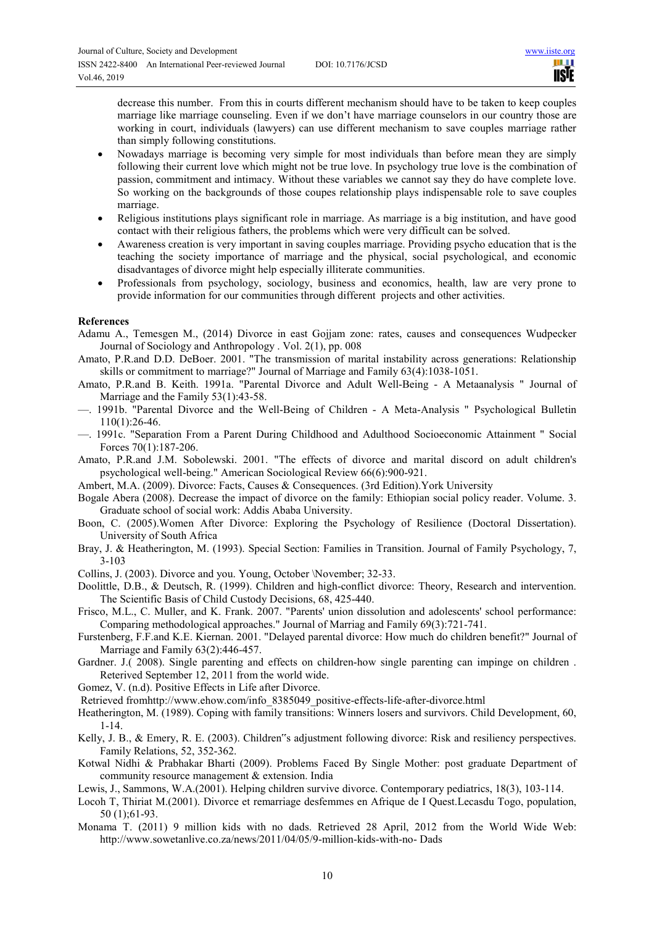II I **IISTE** 

decrease this number. From this in courts different mechanism should have to be taken to keep couples marriage like marriage counseling. Even if we don't have marriage counselors in our country those are working in court, individuals (lawyers) can use different mechanism to save couples marriage rather than simply following constitutions.

- Nowadays marriage is becoming very simple for most individuals than before mean they are simply following their current love which might not be true love. In psychology true love is the combination of passion, commitment and intimacy. Without these variables we cannot say they do have complete love. So working on the backgrounds of those coupes relationship plays indispensable role to save couples marriage.
- Religious institutions plays significant role in marriage. As marriage is a big institution, and have good contact with their religious fathers, the problems which were very difficult can be solved.
- Awareness creation is very important in saving couples marriage. Providing psycho education that is the teaching the society importance of marriage and the physical, social psychological, and economic disadvantages of divorce might help especially illiterate communities.
- Professionals from psychology, sociology, business and economics, health, law are very prone to provide information for our communities through different projects and other activities.

#### **References**

Adamu A., Temesgen M., (2014) Divorce in east Gojjam zone: rates, causes and consequences Wudpecker Journal of Sociology and Anthropology . Vol. 2(1), pp. 008

- Amato, P.R.and D.D. DeBoer. 2001. "The transmission of marital instability across generations: Relationship skills or commitment to marriage?" Journal of Marriage and Family 63(4):1038-1051.
- Amato, P.R.and B. Keith. 1991a. "Parental Divorce and Adult Well-Being A Metaanalysis " Journal of Marriage and the Family 53(1):43-58.
- —. 1991b. "Parental Divorce and the Well-Being of Children A Meta-Analysis " Psychological Bulletin 110(1):26-46.
- —. 1991c. "Separation From a Parent During Childhood and Adulthood Socioeconomic Attainment " Social Forces 70(1):187-206.

Amato, P.R.and J.M. Sobolewski. 2001. "The effects of divorce and marital discord on adult children's psychological well-being." American Sociological Review 66(6):900-921.

Ambert, M.A. (2009). Divorce: Facts, Causes & Consequences. (3rd Edition).York University

Bogale Abera (2008). Decrease the impact of divorce on the family: Ethiopian social policy reader. Volume. 3. Graduate school of social work: Addis Ababa University.

- Boon, C. (2005).Women After Divorce: Exploring the Psychology of Resilience (Doctoral Dissertation). University of South Africa
- Bray, J. & Heatherington, M. (1993). Special Section: Families in Transition. Journal of Family Psychology, 7, 3-103

Collins, J. (2003). Divorce and you. Young, October \November; 32-33.

Doolittle, D.B., & Deutsch, R. (1999). Children and high-conflict divorce: Theory, Research and intervention. The Scientific Basis of Child Custody Decisions, 68, 425-440.

Frisco, M.L., C. Muller, and K. Frank. 2007. "Parents' union dissolution and adolescents' school performance: Comparing methodological approaches." Journal of Marriag and Family 69(3):721-741.

Furstenberg, F.F.and K.E. Kiernan. 2001. "Delayed parental divorce: How much do children benefit?" Journal of Marriage and Family 63(2):446-457.

- Gardner. J. (2008). Single parenting and effects on children-how single parenting can impinge on children . Reterived September 12, 2011 from the world wide.
- Gomez, V. (n.d). Positive Effects in Life after Divorce.

Retrieved fromhttp://www.ehow.com/info\_8385049\_positive-effects-life-after-divorce.html

Heatherington, M. (1989). Coping with family transitions: Winners losers and survivors. Child Development, 60, 1-14.

Kelly, J. B., & Emery, R. E. (2003). Children"s adjustment following divorce: Risk and resiliency perspectives. Family Relations, 52, 352-362.

- Kotwal Nidhi & Prabhakar Bharti (2009). Problems Faced By Single Mother: post graduate Department of community resource management & extension. India
- Lewis, J., Sammons, W.A.(2001). Helping children survive divorce. Contemporary pediatrics, 18(3), 103-114.
- Locoh T, Thiriat M.(2001). Divorce et remarriage desfemmes en Afrique de I Quest.Lecasdu Togo, population, 50 (1);61-93.
- Monama T. (2011) 9 million kids with no dads. Retrieved 28 April, 2012 from the World Wide Web: http://www.sowetanlive.co.za/news/2011/04/05/9-million-kids-with-no- Dads